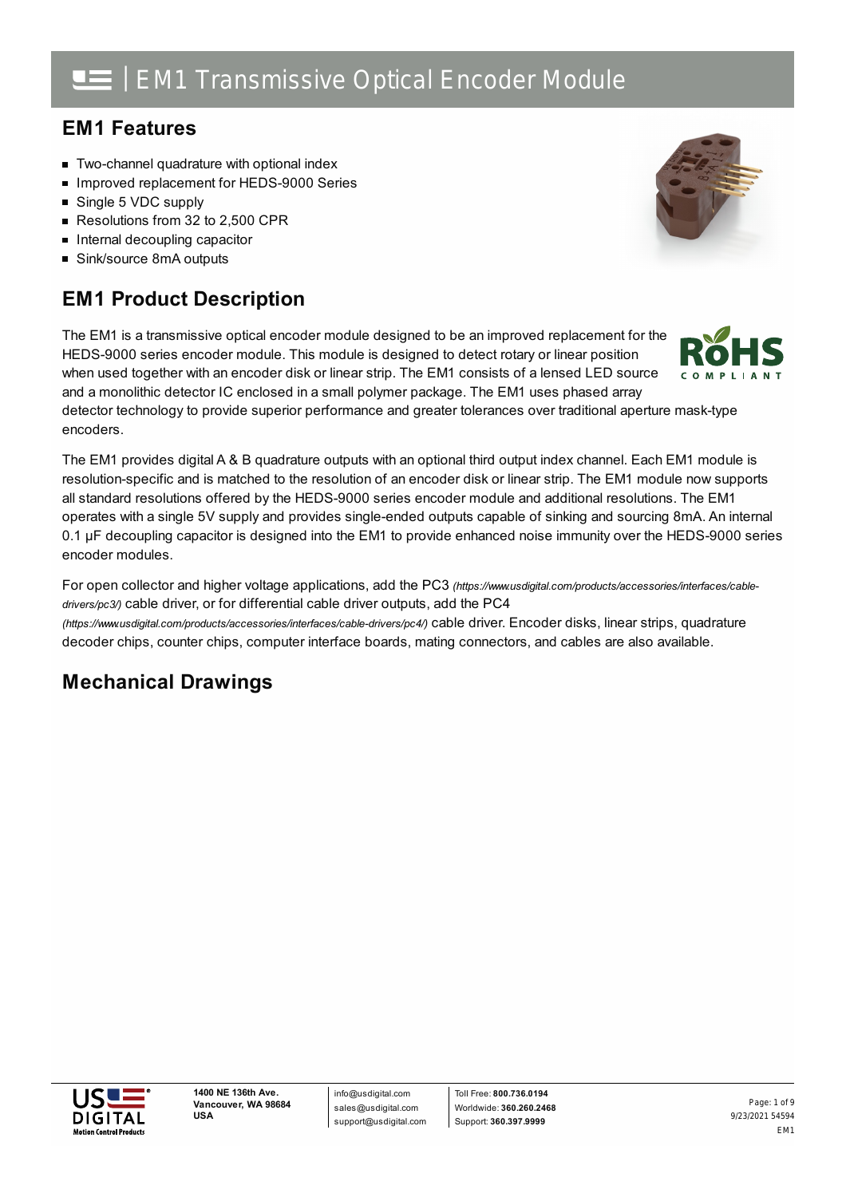## **EM1 Features**

- **Two-channel quadrature with optional index**
- Improved replacement for HEDS-9000 Series
- Single 5 VDC supply
- Resolutions from 32 to 2,500 CPR
- $\blacksquare$  Internal decoupling capacitor
- Sink/source 8mA outputs

## **EM1 Product Description**

The EM1 is a transmissive optical encoder module designed to be an improved replacement for the HEDS-9000 series encoder module. This module is designed to detect rotary or linear position when used together with an encoder disk or linear strip. The EM1 consists of a lensed LED source and a monolithic detector IC enclosed in a small polymer package. The EM1 uses phased array

detector technology to provide superior performance and greater tolerances over traditional aperture mask-type encoders.

The EM1 provides digital A & B quadrature outputs with an optional third output index channel. Each EM1 module is resolution-specific and is matched to the resolution of an encoder disk or linear strip. The EM1 module now supports all standard resolutions offered by the HEDS-9000 series encoder module and additional resolutions. The EM1 operates with a single 5V supply and provides single-ended outputs capable of sinking and sourcing 8mA. An internal 0.1 µF decoupling capacitor is designed into the EM1 to provide enhanced noise immunity over the HEDS-9000 series encoder modules.

For open collector and higher voltage applications, add the PC3 *[\(https://www.usdigital.com/products/accessories/interfaces/cable](https://www.usdigital.com/products/accessories/interfaces/cable-drivers/pc3/)drivers/pc3/)* cable driver, or for differential cable driver outputs, add the PC4

*(https://www.usdigital.com/products/accessories/interfaces/cable-drivers/pc4/)* cable driver. Encoder disks, linear strips, quadrature decoder chips, counter chips, computer interface boards, mating connectors, and cables are also available.

## **Mechanical Drawings**





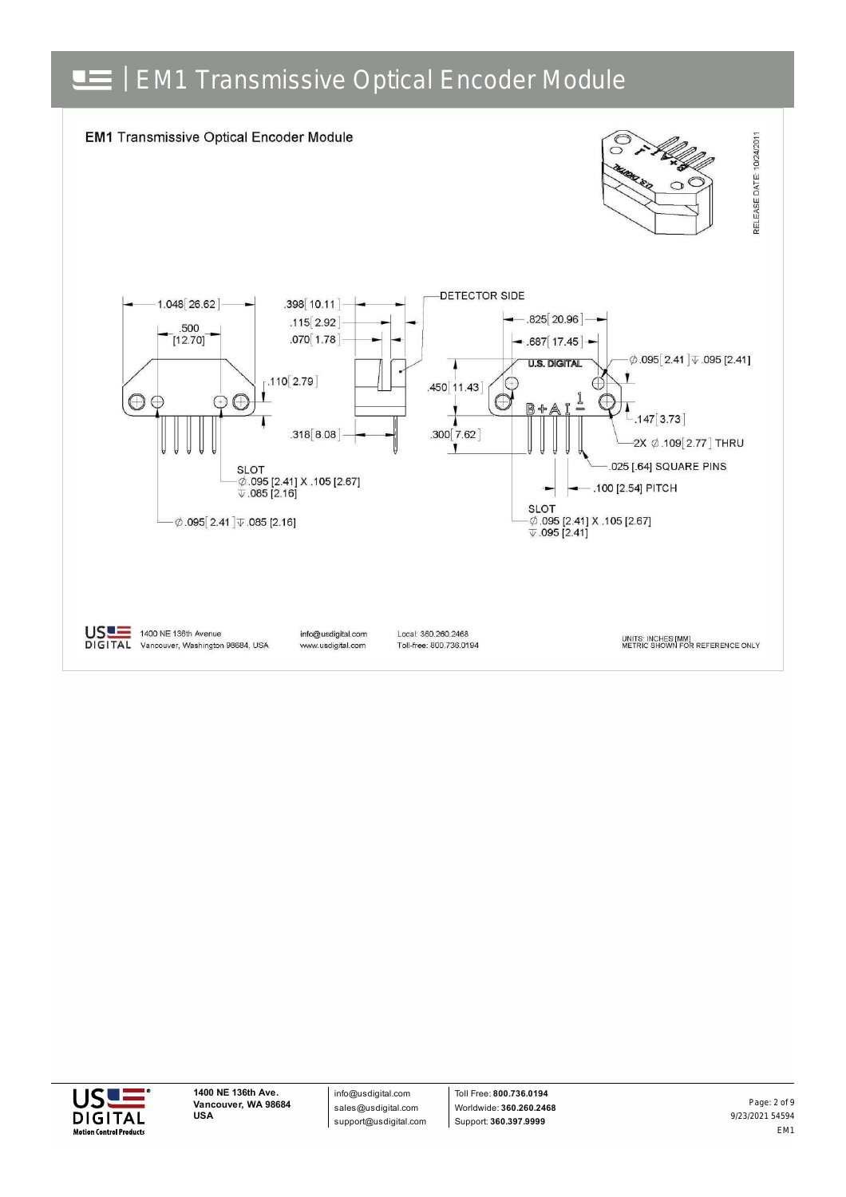



info@usdigital.com sales@usdigital.com support@usdigital.com

Toll Free: **800.736.0194** Worldwide: **360.260.2468** Support: **360.397.9999**

9/23/2021 54594 EM1 Page: 2 of 9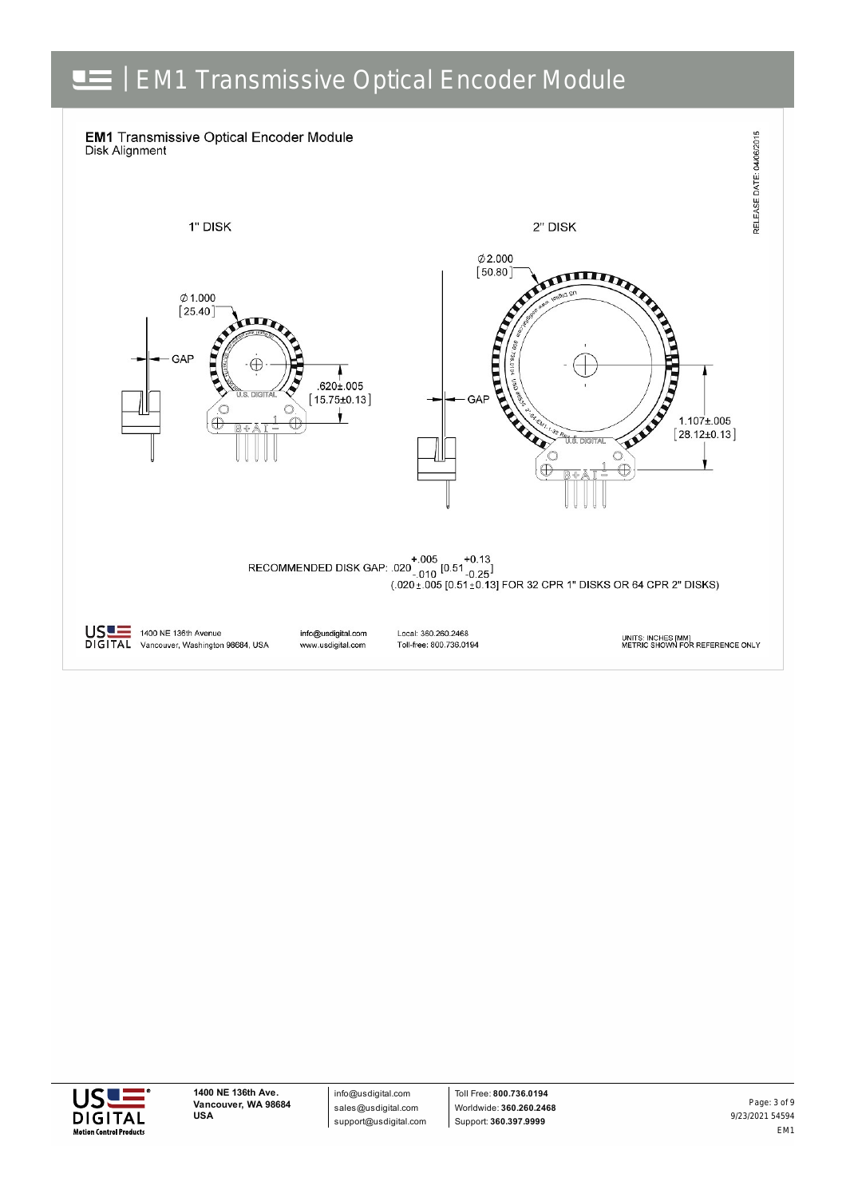



info@usdigital.com sales@usdigital.com support@usdigital.com

Toll Free: **800.736.0194** Worldwide: **360.260.2468** Support: **360.397.9999**

9/23/2021 54594 EM1 Page: 3 of 9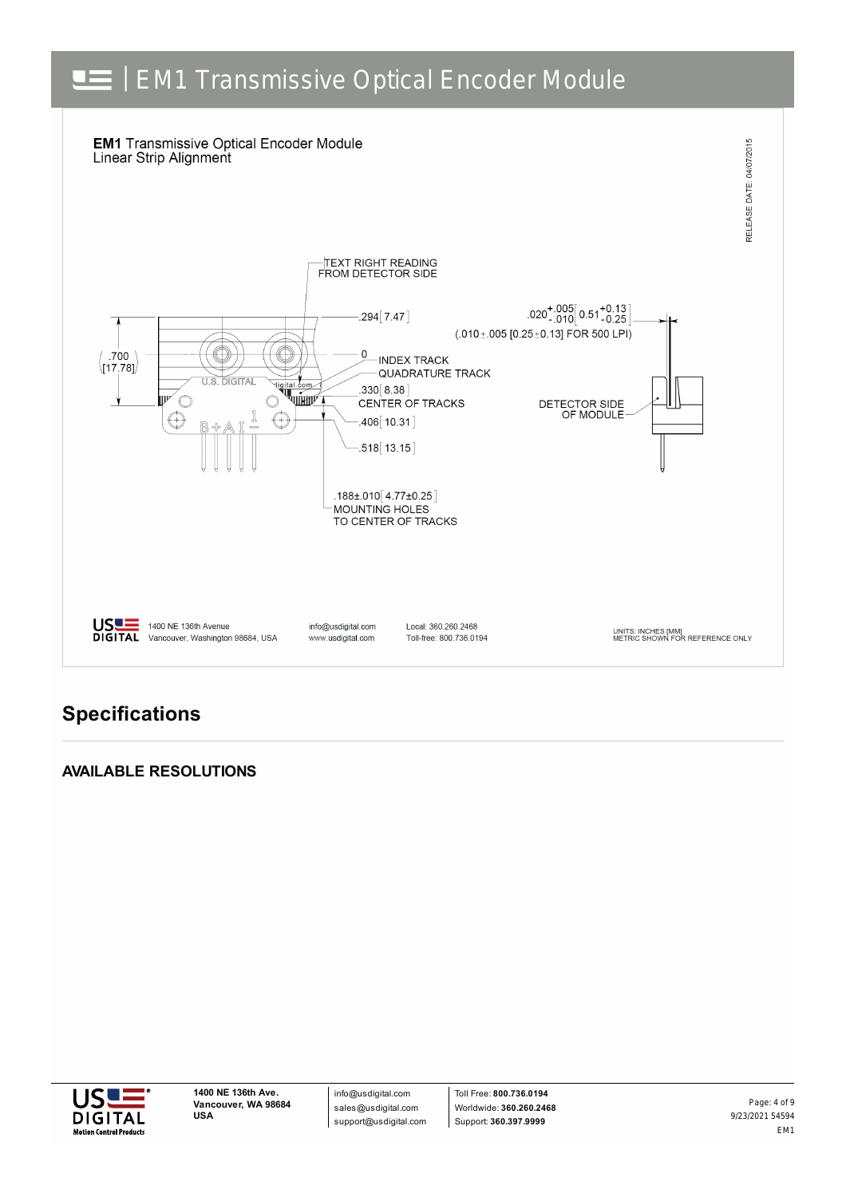

## **Specifications**

### **AVAILABLE RESOLUTIONS**



info@usdigital.com sales@usdigital.com support@usdigital.com

Toll Free: **800.736.0194** Worldwide: **360.260.2468** Support: **360.397.9999**

9/23/2021 54594 EM1 Page: 4 of 9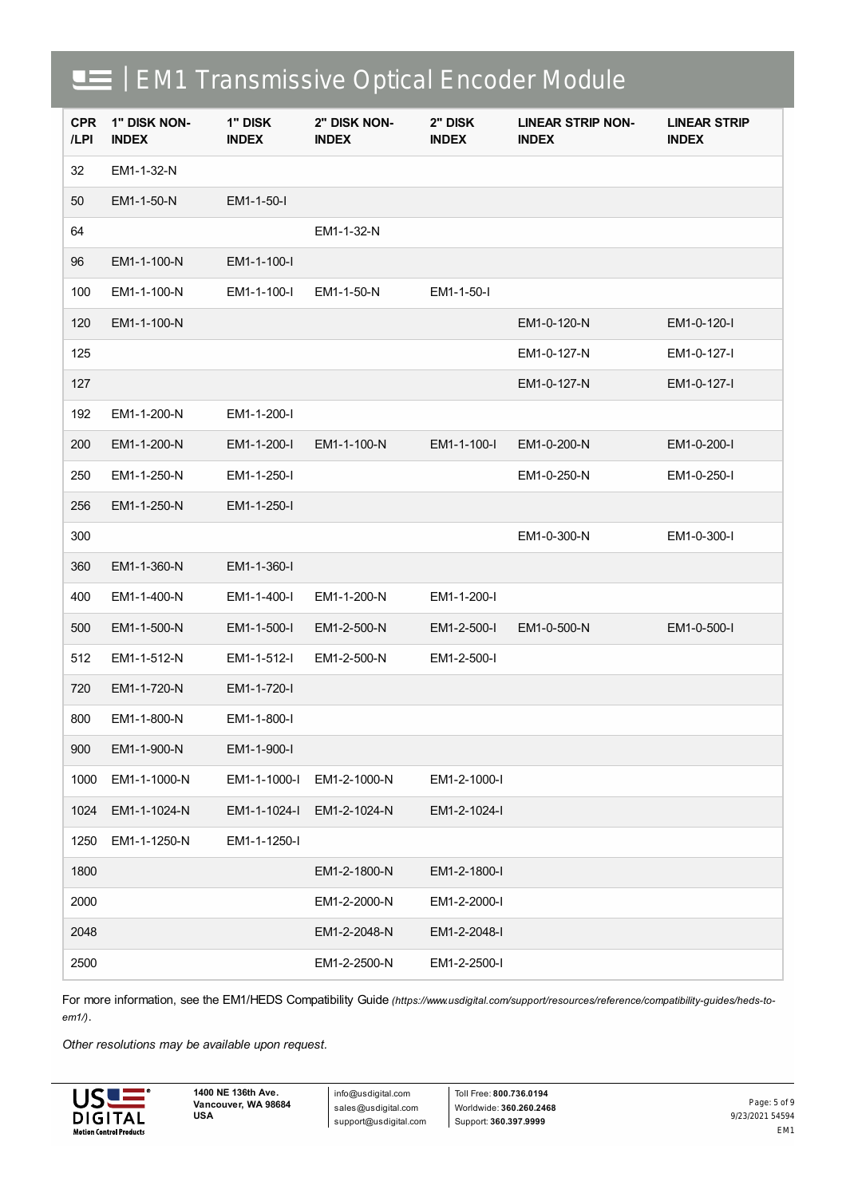| <b>CPR</b><br>/LPI | 1" DISK NON-<br><b>INDEX</b> | 1" DISK<br><b>INDEX</b> | 2" DISK NON-<br><b>INDEX</b> | 2" DISK<br><b>INDEX</b> | <b>LINEAR STRIP NON-</b><br><b>INDEX</b> | <b>LINEAR STRIP</b><br><b>INDEX</b> |
|--------------------|------------------------------|-------------------------|------------------------------|-------------------------|------------------------------------------|-------------------------------------|
| 32                 | EM1-1-32-N                   |                         |                              |                         |                                          |                                     |
| 50                 | EM1-1-50-N                   | EM1-1-50-I              |                              |                         |                                          |                                     |
| 64                 |                              |                         | EM1-1-32-N                   |                         |                                          |                                     |
| 96                 | EM1-1-100-N                  | EM1-1-100-I             |                              |                         |                                          |                                     |
| 100                | EM1-1-100-N                  | EM1-1-100-I             | EM1-1-50-N                   | EM1-1-50-I              |                                          |                                     |
| 120                | EM1-1-100-N                  |                         |                              |                         | EM1-0-120-N                              | EM1-0-120-I                         |
| 125                |                              |                         |                              |                         | EM1-0-127-N                              | EM1-0-127-I                         |
| 127                |                              |                         |                              |                         | EM1-0-127-N                              | EM1-0-127-I                         |
| 192                | EM1-1-200-N                  | EM1-1-200-I             |                              |                         |                                          |                                     |
| 200                | EM1-1-200-N                  | EM1-1-200-I             | EM1-1-100-N                  | EM1-1-100-I             | EM1-0-200-N                              | EM1-0-200-I                         |
| 250                | EM1-1-250-N                  | EM1-1-250-I             |                              |                         | EM1-0-250-N                              | EM1-0-250-I                         |
| 256                | EM1-1-250-N                  | EM1-1-250-I             |                              |                         |                                          |                                     |
| 300                |                              |                         |                              |                         | EM1-0-300-N                              | EM1-0-300-I                         |
| 360                | EM1-1-360-N                  | EM1-1-360-I             |                              |                         |                                          |                                     |
| 400                | EM1-1-400-N                  | EM1-1-400-I             | EM1-1-200-N                  | EM1-1-200-I             |                                          |                                     |
| 500                | EM1-1-500-N                  | EM1-1-500-I             | EM1-2-500-N                  | EM1-2-500-I             | EM1-0-500-N                              | EM1-0-500-I                         |
| 512                | EM1-1-512-N                  | EM1-1-512-I             | EM1-2-500-N                  | EM1-2-500-I             |                                          |                                     |
| 720                | EM1-1-720-N                  | EM1-1-720-I             |                              |                         |                                          |                                     |
| 800                | EM1-1-800-N                  | EM1-1-800-I             |                              |                         |                                          |                                     |
| 900                | EM1-1-900-N                  | EM1-1-900-I             |                              |                         |                                          |                                     |
| 1000               | EM1-1-1000-N                 | EM1-1-1000-I            | EM1-2-1000-N                 | EM1-2-1000-I            |                                          |                                     |
| 1024               | EM1-1-1024-N                 | EM1-1-1024-I            | EM1-2-1024-N                 | EM1-2-1024-I            |                                          |                                     |
| 1250               | EM1-1-1250-N                 | EM1-1-1250-I            |                              |                         |                                          |                                     |
| 1800               |                              |                         | EM1-2-1800-N                 | EM1-2-1800-I            |                                          |                                     |
| 2000               |                              |                         | EM1-2-2000-N                 | EM1-2-2000-I            |                                          |                                     |
| 2048               |                              |                         | EM1-2-2048-N                 | EM1-2-2048-I            |                                          |                                     |
| 2500               |                              |                         | EM1-2-2500-N                 | EM1-2-2500-I            |                                          |                                     |

For more information, see the EM1/HEDS Compatibility Guide [\(https://www.usdigital.com/support/resources/reference/compatibility-guides/heds-to](https://www.usdigital.com/support/resources/reference/compatibility-guides/heds-to-em1/)*em1/)*.

*Other resolutions may be available upon request.*



info@usdigital.com sales@usdigital.com support@usdigital.com

Toll Free: **800.736.0194** Worldwide: **360.260.2468** Support: **360.397.9999**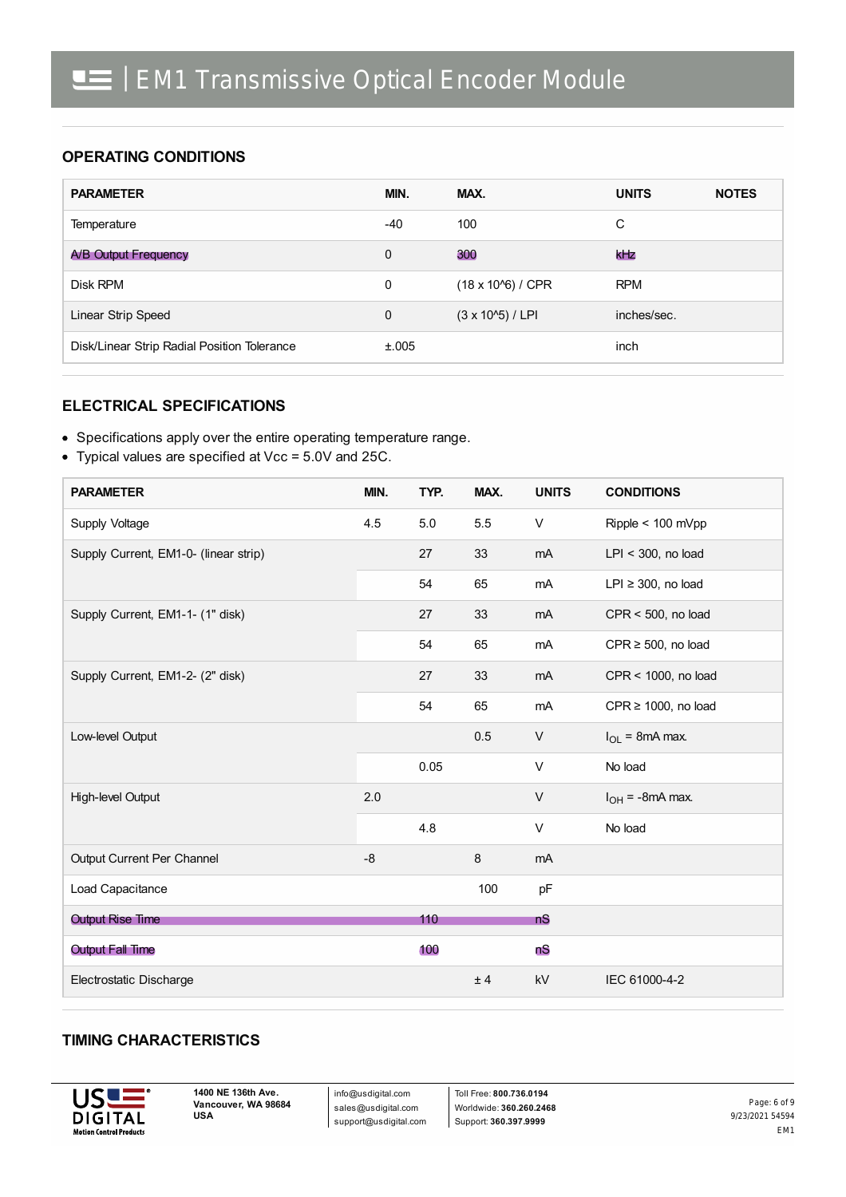### **OPERATING CONDITIONS**

| <b>PARAMETER</b>                            | MIN.         | MAX.                       | <b>UNITS</b> | <b>NOTES</b> |
|---------------------------------------------|--------------|----------------------------|--------------|--------------|
| Temperature                                 | $-40$        | 100                        | C            |              |
| A/B Output Frequency                        | $\Omega$     | 300                        | kHz          |              |
| Disk RPM                                    | $\mathbf 0$  | $(18 \times 10^{6}) / CPR$ | <b>RPM</b>   |              |
| Linear Strip Speed                          | $\mathbf{0}$ | $(3 \times 10^{6})$ / LPI  | inches/sec.  |              |
| Disk/Linear Strip Radial Position Tolerance | ±.005        |                            | inch         |              |

#### **ELECTRICAL SPECIFICATIONS**

- Specifications apply over the entire operating temperature range.
- Typical values are specified at Vcc = 5.0V and 25C.

| <b>PARAMETER</b>                      | MIN. | TYP. | MAX. | <b>UNITS</b> | <b>CONDITIONS</b>        |
|---------------------------------------|------|------|------|--------------|--------------------------|
| Supply Voltage                        | 4.5  | 5.0  | 5.5  | V            | Ripple < 100 mVpp        |
| Supply Current, EM1-0- (linear strip) |      | 27   | 33   | mA           | $LPI < 300$ , no load    |
|                                       |      | 54   | 65   | mA           | $LPI \geq 300$ , no load |
| Supply Current, EM1-1- (1" disk)      |      | 27   | 33   | mA           | $CPR < 500$ , no load    |
|                                       |      | 54   | 65   | mA           | CPR $\geq$ 500, no load  |
| Supply Current, EM1-2- (2" disk)      |      | 27   | 33   | mA           | CPR < 1000, no load      |
|                                       |      | 54   | 65   | mA           | $CPR \ge 1000$ , no load |
| Low-level Output                      |      |      | 0.5  | $\vee$       | $I_{OL}$ = 8mA max.      |
|                                       |      | 0.05 |      | $\vee$       | No load                  |
| High-level Output                     | 2.0  |      |      | $\vee$       | $I_{OH}$ = -8mA max.     |
|                                       |      | 4.8  |      | V            | No load                  |
| Output Current Per Channel            | $-8$ |      | 8    | mA           |                          |
| Load Capacitance                      |      |      | 100  | pF           |                          |
| <b>Output Rise Time</b>               |      | 110  |      | <b>nS</b>    |                          |
| <b>Output Fall Time</b>               |      | 100  |      | nS           |                          |
| Electrostatic Discharge               |      |      | ± 4  | kV           | IEC 61000-4-2            |

#### **TIMING CHARACTERISTICS**



info@usdigital.com sales@usdigital.com support@usdigital.com

Toll Free: **800.736.0194** Worldwide: **360.260.2468** Support: **360.397.9999**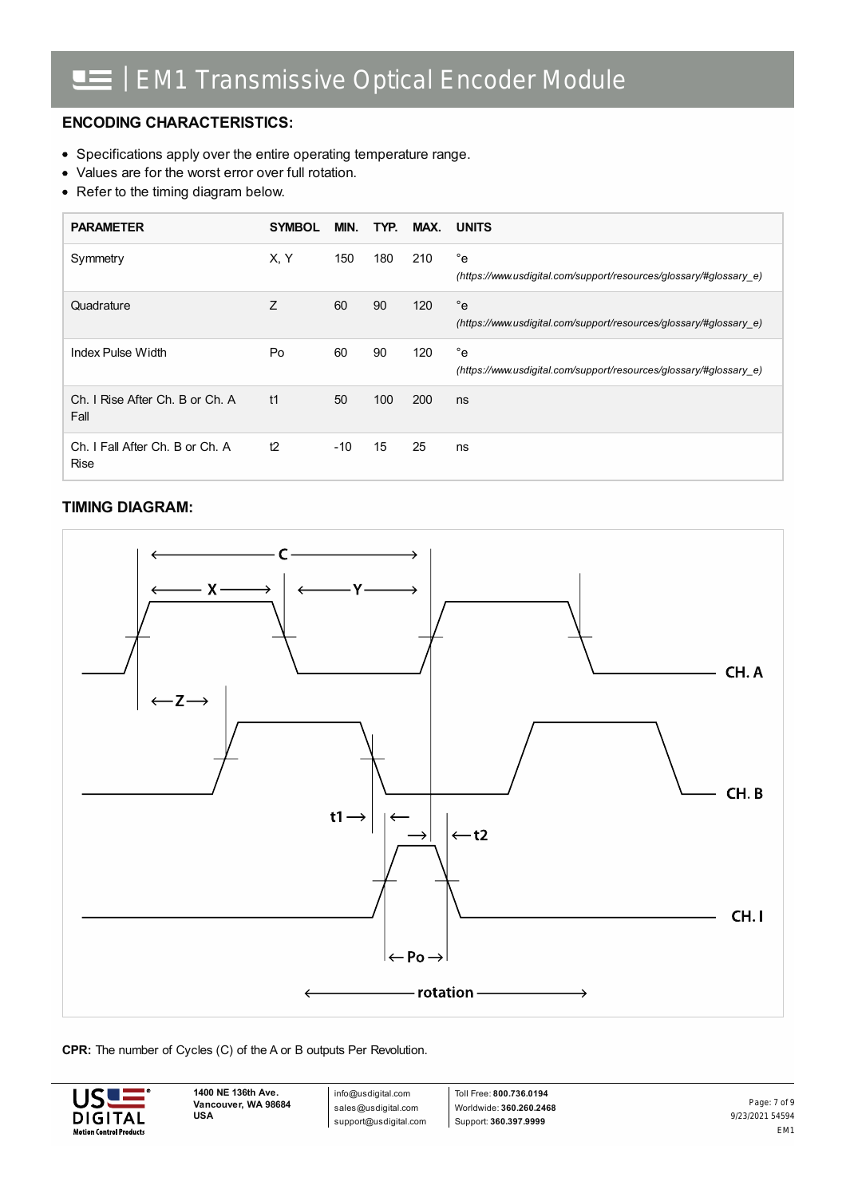### **ENCODING CHARACTERISTICS:**

- Specifications apply over the entire operating temperature range.
- Values are for the worst error over full rotation.
- Refer to the timing diagram below.

| <b>PARAMETER</b>                               | <b>SYMBOL</b> | MIN.  | TYP. | MAX. | <b>UNITS</b>                                                                       |
|------------------------------------------------|---------------|-------|------|------|------------------------------------------------------------------------------------|
| Symmetry                                       | X, Y          | 150   | 180  | 210  | $^{\circ}$ e<br>(https://www.usdigital.com/support/resources/glossary/#glossary e) |
| Quadrature                                     | Z             | 60    | 90   | 120  | $^{\circ}$ e<br>(https://www.usdigital.com/support/resources/glossary/#glossary e) |
| Index Pulse Width                              | Po            | 60    | 90   | 120  | $^{\circ}$ e<br>(https://www.usdigital.com/support/resources/glossary/#glossary e) |
| Ch. I Rise After Ch. B or Ch. A<br>Fall        | t1            | 50    | 100  | 200  | ns                                                                                 |
| Ch. I Fall After Ch. B or Ch. A<br><b>Rise</b> | t2            | $-10$ | 15   | 25   | ns                                                                                 |

### **TIMING DIAGRAM:**



#### **CPR:** The number of Cycles (C) of the A or B outputs Per Revolution.



info@usdigital.com sales@usdigital.com support@usdigital.com

Toll Free: **800.736.0194** Worldwide: **360.260.2468** Support: **360.397.9999**

9/23/2021 54594 EM1 Page: 7 of 9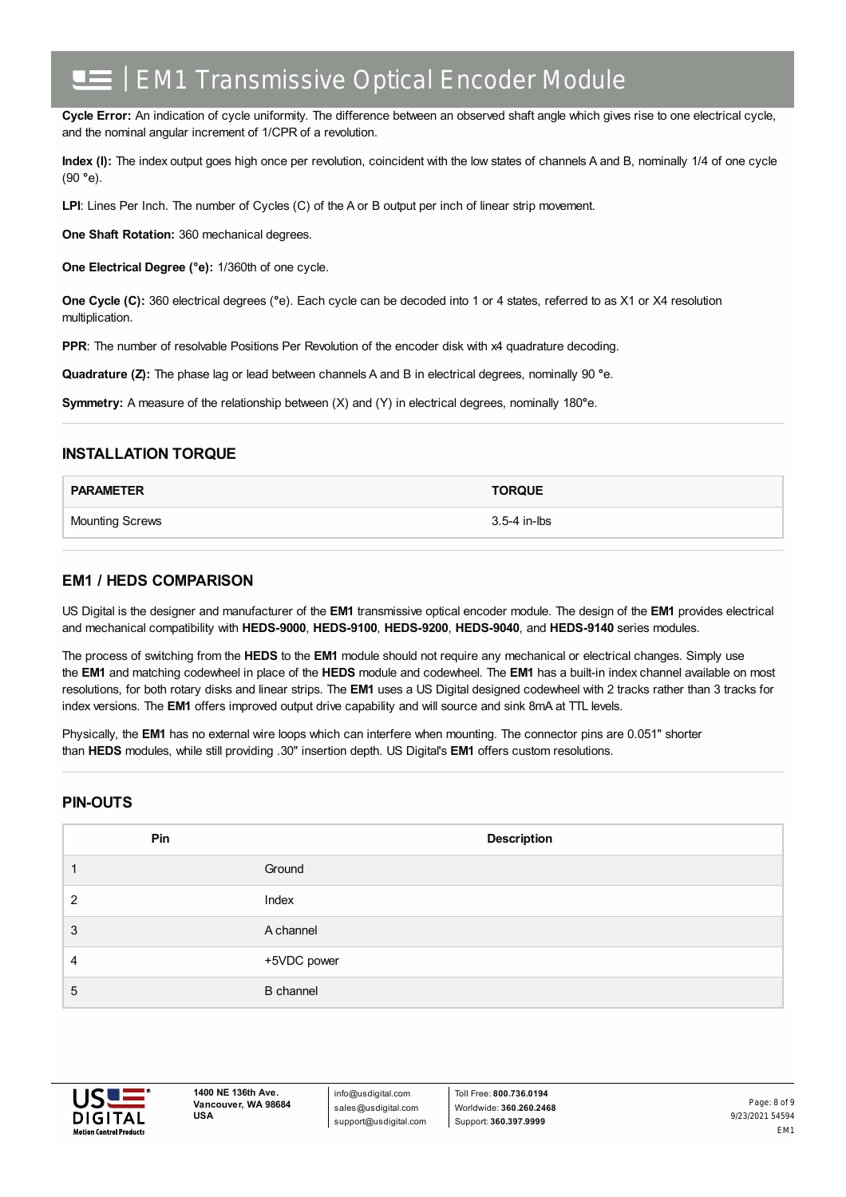**Cycle Error:** An indication of cycle uniformity. The difference between an observed shaft angle which gives rise to one electrical cycle, and the nominal angular increment of 1/CPR of a revolution.

**Index (I):** The index output goes high once per revolution, coincident with the low states of channels A and B, nominally 1/4 of one cycle (90 **°**e).

**LPI**: Lines Per Inch. The number of Cycles (C) of the A or B output per inch of linear strip movement.

**One Shaft Rotation:** 360 mechanical degrees.

**One Electrical Degree (°e):** 1/360th of one cycle.

**One Cycle (C):** 360 electrical degrees (**°**e). Each cycle can be decoded into 1 or 4 states, referred to as X1 or X4 resolution multiplication.

**PPR:** The number of resolvable Positions Per Revolution of the encoder disk with x4 quadrature decoding.

**Quadrature (Z):** The phase lag or lead between channels A and B in electrical degrees, nominally 90 **°**e.

**Symmetry:** A measure of the relationship between (X) and (Y) in electrical degrees, nominally 180**°**e.

#### **INSTALLATION TORQUE**

| <b>PARAMETER</b>       | <b>TORQUE</b> |
|------------------------|---------------|
| <b>Mounting Screws</b> | 3.5-4 in-lbs  |

#### **EM1 / HEDS COMPARISON**

US Digital is the designer and manufacturer of the **EM1** transmissive optical encoder module. The design of the **EM1** provides electrical and mechanical compatibility with **HEDS-9000**, **HEDS-9100**, **HEDS-9200**, **HEDS-9040**, and **HEDS-9140** series modules.

The process of switching from the **HEDS** to the **EM1** module should not require any mechanical or electrical changes. Simply use the **EM1** and matching codewheel in place of the **HEDS** module and codewheel. The **EM1** has a built-in index channel available on most resolutions, for both rotary disks and linear strips. The **EM1** uses a US Digital designed codewheel with 2 tracks rather than 3 tracks for index versions. The **EM1** offers improved output drive capability and will source and sink 8mA at TTL levels.

Physically, the **EM1** has no external wire loops which can interfere when mounting. The connector pins are 0.051" shorter than **HEDS** modules, while still providing .30" insertion depth. US Digital's **EM1** offers custom resolutions.

#### **PIN-OUTS**

| Pin | <b>Description</b> |
|-----|--------------------|
|     | Ground             |
| 2   | Index              |
| 3   | A channel          |
| 4   | +5VDC power        |
| 5   | <b>B</b> channel   |



info@usdigital.com sales@usdigital.com support@usdigital.com

Toll Free: **800.736.0194** Worldwide: **360.260.2468** Support: **360.397.9999**

9/23/2021 54594 EM1 Page: 8 of 9